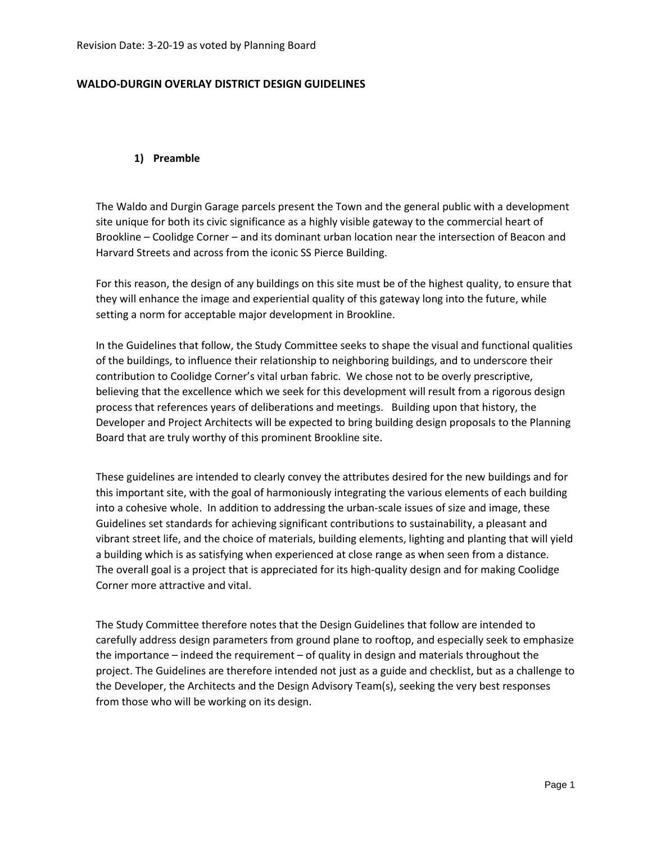### **WALDO-DURGIN OVERLAY DISTRICT DESIGN GUIDELINES**

#### **1) Preamble**

The Waldo and Durgin Garage parcels present the Town and the general public with a development site unique for both its civic significance as a highly visible gateway to the commercial heart of Brookline – Coolidge Corner – and its dominant urban location near the intersection of Beacon and Harvard Streets and across from the iconic SS Pierce Building.

For this reason, the design of any buildings on this site must be of the highest quality, to ensure that they will enhance the image and experiential quality of this gateway long into the future, while setting a norm for acceptable major development in Brookline.

In the Guidelines that follow, the Study Committee seeks to shape the visual and functional qualities of the buildings, to influence their relationship to neighboring buildings, and to underscore their contribution to Coolidge Corner's vital urban fabric. We chose not to be overly prescriptive, believing that the excellence which we seek for this development will result from a rigorous design process that references years of deliberations and meetings. Building upon that history, the Developer and Project Architects will be expected to bring building design proposals to the Planning Board that are truly worthy of this prominent Brookline site.

These guidelines are intended to clearly convey the attributes desired for the new buildings and for this important site, with the goal of harmoniously integrating the various elements of each building into a cohesive whole. In addition to addressing the urban-scale issues of size and image, these Guidelines set standards for achieving significant contributions to sustainability, a pleasant and vibrant street life, and the choice of materials, building elements, lighting and planting that will yield a building which is as satisfying when experienced at close range as when seen from a distance. The overall goal is a project that is appreciated for its high-quality design and for making Coolidge Corner more attractive and vital.

The Study Committee therefore notes that the Design Guidelines that follow are intended to carefully address design parameters from ground plane to rooftop, and especially seek to emphasize the importance – indeed the requirement – of quality in design and materials throughout the project. The Guidelines are therefore intended not just as a guide and checklist, but as a challenge to the Developer, the Architects and the Design Advisory Team(s), seeking the very best responses from those who will be working on its design.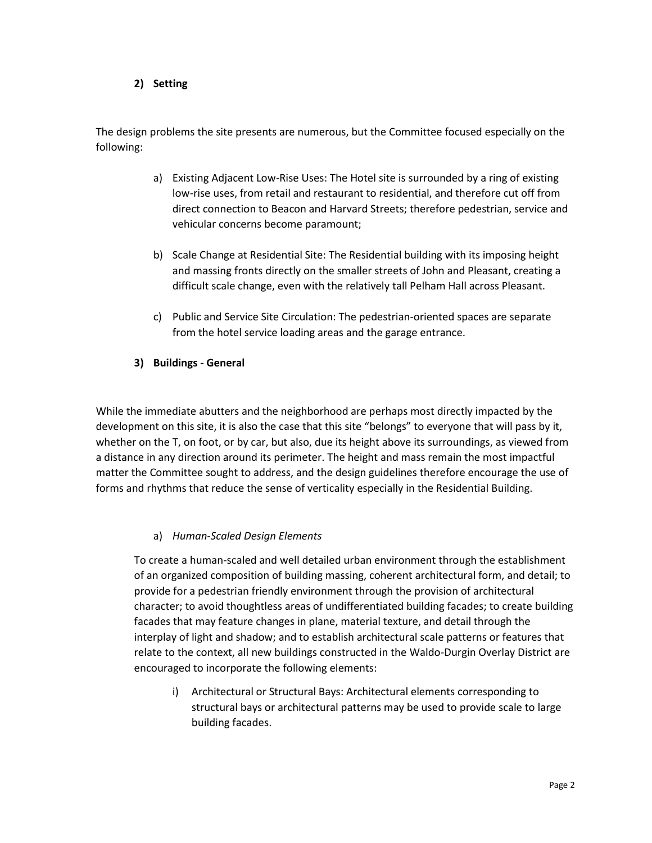### **2) Setting**

The design problems the site presents are numerous, but the Committee focused especially on the following:

- a) Existing Adjacent Low-Rise Uses: The Hotel site is surrounded by a ring of existing low-rise uses, from retail and restaurant to residential, and therefore cut off from direct connection to Beacon and Harvard Streets; therefore pedestrian, service and vehicular concerns become paramount;
- b) Scale Change at Residential Site: The Residential building with its imposing height and massing fronts directly on the smaller streets of John and Pleasant, creating a difficult scale change, even with the relatively tall Pelham Hall across Pleasant.
- c) Public and Service Site Circulation: The pedestrian-oriented spaces are separate from the hotel service loading areas and the garage entrance.

## **3) Buildings - General**

While the immediate abutters and the neighborhood are perhaps most directly impacted by the development on this site, it is also the case that this site "belongs" to everyone that will pass by it, whether on the T, on foot, or by car, but also, due its height above its surroundings, as viewed from a distance in any direction around its perimeter. The height and mass remain the most impactful matter the Committee sought to address, and the design guidelines therefore encourage the use of forms and rhythms that reduce the sense of verticality especially in the Residential Building.

## a) *Human-Scaled Design Elements*

To create a human-scaled and well detailed urban environment through the establishment of an organized composition of building massing, coherent architectural form, and detail; to provide for a pedestrian friendly environment through the provision of architectural character; to avoid thoughtless areas of undifferentiated building facades; to create building facades that may feature changes in plane, material texture, and detail through the interplay of light and shadow; and to establish architectural scale patterns or features that relate to the context, all new buildings constructed in the Waldo-Durgin Overlay District are encouraged to incorporate the following elements:

i) Architectural or Structural Bays: Architectural elements corresponding to structural bays or architectural patterns may be used to provide scale to large building facades.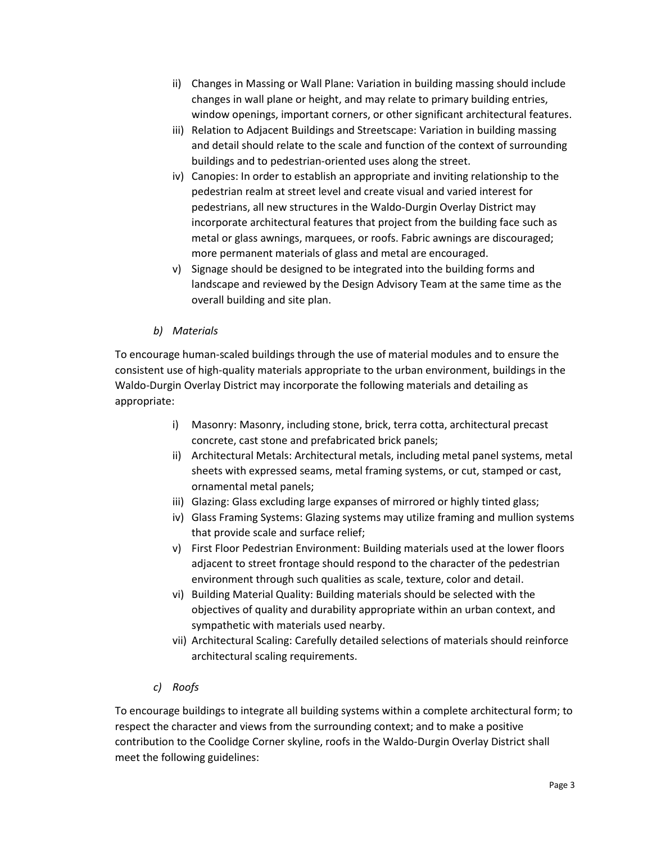- ii) Changes in Massing or Wall Plane: Variation in building massing should include changes in wall plane or height, and may relate to primary building entries, window openings, important corners, or other significant architectural features.
- iii) Relation to Adjacent Buildings and Streetscape: Variation in building massing and detail should relate to the scale and function of the context of surrounding buildings and to pedestrian-oriented uses along the street.
- iv) Canopies: In order to establish an appropriate and inviting relationship to the pedestrian realm at street level and create visual and varied interest for pedestrians, all new structures in the Waldo-Durgin Overlay District may incorporate architectural features that project from the building face such as metal or glass awnings, marquees, or roofs. Fabric awnings are discouraged; more permanent materials of glass and metal are encouraged.
- v) Signage should be designed to be integrated into the building forms and landscape and reviewed by the Design Advisory Team at the same time as the overall building and site plan.

# *b) Materials*

To encourage human-scaled buildings through the use of material modules and to ensure the consistent use of high-quality materials appropriate to the urban environment, buildings in the Waldo-Durgin Overlay District may incorporate the following materials and detailing as appropriate:

- i) Masonry: Masonry, including stone, brick, terra cotta, architectural precast concrete, cast stone and prefabricated brick panels;
- ii) Architectural Metals: Architectural metals, including metal panel systems, metal sheets with expressed seams, metal framing systems, or cut, stamped or cast, ornamental metal panels;
- iii) Glazing: Glass excluding large expanses of mirrored or highly tinted glass;
- iv) Glass Framing Systems: Glazing systems may utilize framing and mullion systems that provide scale and surface relief;
- v) First Floor Pedestrian Environment: Building materials used at the lower floors adjacent to street frontage should respond to the character of the pedestrian environment through such qualities as scale, texture, color and detail.
- vi) Building Material Quality: Building materials should be selected with the objectives of quality and durability appropriate within an urban context, and sympathetic with materials used nearby.
- vii) Architectural Scaling: Carefully detailed selections of materials should reinforce architectural scaling requirements.
- *c) Roofs*

To encourage buildings to integrate all building systems within a complete architectural form; to respect the character and views from the surrounding context; and to make a positive contribution to the Coolidge Corner skyline, roofs in the Waldo-Durgin Overlay District shall meet the following guidelines: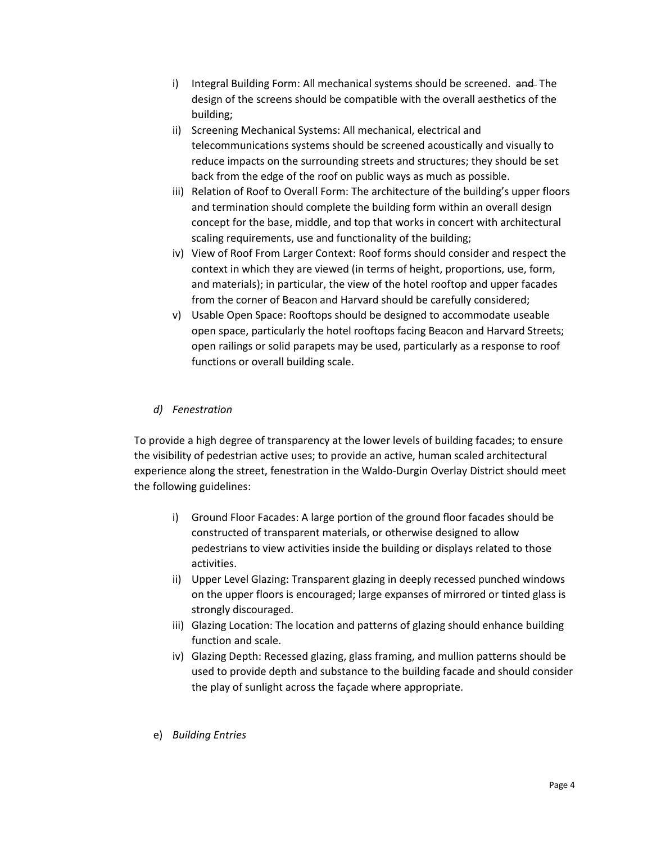- i) Integral Building Form: All mechanical systems should be screened. and The design of the screens should be compatible with the overall aesthetics of the building;
- ii) Screening Mechanical Systems: All mechanical, electrical and telecommunications systems should be screened acoustically and visually to reduce impacts on the surrounding streets and structures; they should be set back from the edge of the roof on public ways as much as possible.
- iii) Relation of Roof to Overall Form: The architecture of the building's upper floors and termination should complete the building form within an overall design concept for the base, middle, and top that works in concert with architectural scaling requirements, use and functionality of the building;
- iv) View of Roof From Larger Context: Roof forms should consider and respect the context in which they are viewed (in terms of height, proportions, use, form, and materials); in particular, the view of the hotel rooftop and upper facades from the corner of Beacon and Harvard should be carefully considered;
- v) Usable Open Space: Rooftops should be designed to accommodate useable open space, particularly the hotel rooftops facing Beacon and Harvard Streets; open railings or solid parapets may be used, particularly as a response to roof functions or overall building scale.

# *d) Fenestration*

To provide a high degree of transparency at the lower levels of building facades; to ensure the visibility of pedestrian active uses; to provide an active, human scaled architectural experience along the street, fenestration in the Waldo-Durgin Overlay District should meet the following guidelines:

- i) Ground Floor Facades: A large portion of the ground floor facades should be constructed of transparent materials, or otherwise designed to allow pedestrians to view activities inside the building or displays related to those activities.
- ii) Upper Level Glazing: Transparent glazing in deeply recessed punched windows on the upper floors is encouraged; large expanses of mirrored or tinted glass is strongly discouraged.
- iii) Glazing Location: The location and patterns of glazing should enhance building function and scale.
- iv) Glazing Depth: Recessed glazing, glass framing, and mullion patterns should be used to provide depth and substance to the building facade and should consider the play of sunlight across the façade where appropriate.
- e) *Building Entries*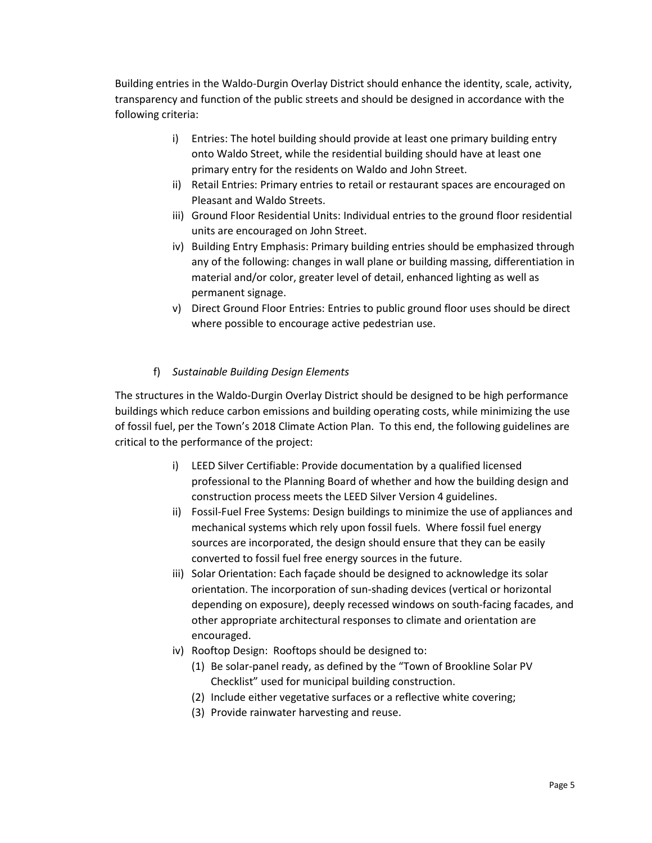Building entries in the Waldo-Durgin Overlay District should enhance the identity, scale, activity, transparency and function of the public streets and should be designed in accordance with the following criteria:

- i) Entries: The hotel building should provide at least one primary building entry onto Waldo Street, while the residential building should have at least one primary entry for the residents on Waldo and John Street.
- ii) Retail Entries: Primary entries to retail or restaurant spaces are encouraged on Pleasant and Waldo Streets.
- iii) Ground Floor Residential Units: Individual entries to the ground floor residential units are encouraged on John Street.
- iv) Building Entry Emphasis: Primary building entries should be emphasized through any of the following: changes in wall plane or building massing, differentiation in material and/or color, greater level of detail, enhanced lighting as well as permanent signage.
- v) Direct Ground Floor Entries: Entries to public ground floor uses should be direct where possible to encourage active pedestrian use.

## f) *Sustainable Building Design Elements*

The structures in the Waldo-Durgin Overlay District should be designed to be high performance buildings which reduce carbon emissions and building operating costs, while minimizing the use of fossil fuel, per the Town's 2018 Climate Action Plan. To this end, the following guidelines are critical to the performance of the project:

- i) LEED Silver Certifiable: Provide documentation by a qualified licensed professional to the Planning Board of whether and how the building design and construction process meets the LEED Silver Version 4 guidelines.
- ii) Fossil-Fuel Free Systems: Design buildings to minimize the use of appliances and mechanical systems which rely upon fossil fuels. Where fossil fuel energy sources are incorporated, the design should ensure that they can be easily converted to fossil fuel free energy sources in the future.
- iii) Solar Orientation: Each façade should be designed to acknowledge its solar orientation. The incorporation of sun-shading devices (vertical or horizontal depending on exposure), deeply recessed windows on south-facing facades, and other appropriate architectural responses to climate and orientation are encouraged.
- iv) Rooftop Design: Rooftops should be designed to:
	- (1) Be solar-panel ready, as defined by the "Town of Brookline Solar PV Checklist" used for municipal building construction.
	- (2) Include either vegetative surfaces or a reflective white covering;
	- (3) Provide rainwater harvesting and reuse.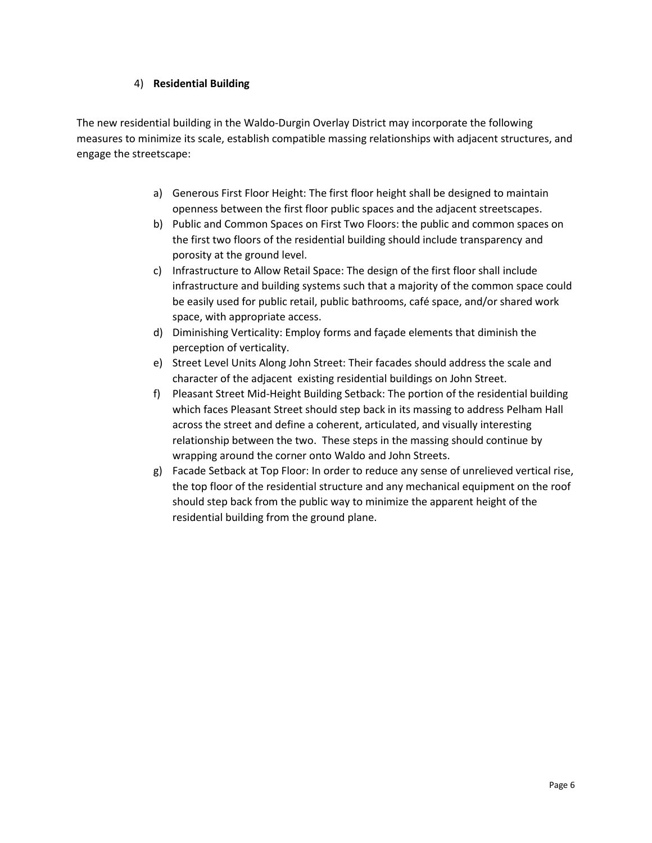### 4) **Residential Building**

The new residential building in the Waldo-Durgin Overlay District may incorporate the following measures to minimize its scale, establish compatible massing relationships with adjacent structures, and engage the streetscape:

- a) Generous First Floor Height: The first floor height shall be designed to maintain openness between the first floor public spaces and the adjacent streetscapes.
- b) Public and Common Spaces on First Two Floors: the public and common spaces on the first two floors of the residential building should include transparency and porosity at the ground level.
- c) Infrastructure to Allow Retail Space: The design of the first floor shall include infrastructure and building systems such that a majority of the common space could be easily used for public retail, public bathrooms, café space, and/or shared work space, with appropriate access.
- d) Diminishing Verticality: Employ forms and façade elements that diminish the perception of verticality.
- e) Street Level Units Along John Street: Their facades should address the scale and character of the adjacent existing residential buildings on John Street.
- f) Pleasant Street Mid-Height Building Setback: The portion of the residential building which faces Pleasant Street should step back in its massing to address Pelham Hall across the street and define a coherent, articulated, and visually interesting relationship between the two. These steps in the massing should continue by wrapping around the corner onto Waldo and John Streets.
- g) Facade Setback at Top Floor: In order to reduce any sense of unrelieved vertical rise, the top floor of the residential structure and any mechanical equipment on the roof should step back from the public way to minimize the apparent height of the residential building from the ground plane.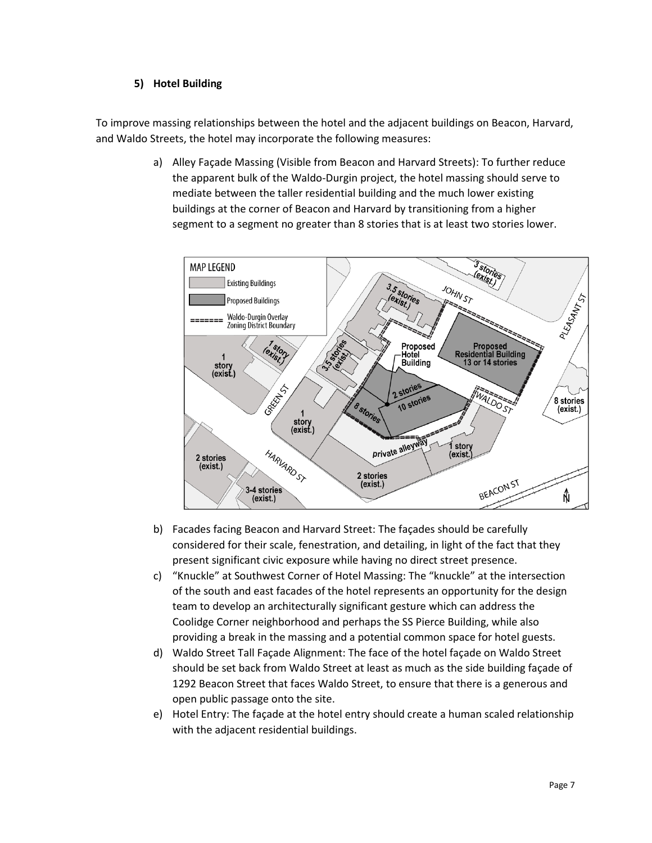### **5) Hotel Building**

To improve massing relationships between the hotel and the adjacent buildings on Beacon, Harvard, and Waldo Streets, the hotel may incorporate the following measures:

> a) Alley Façade Massing (Visible from Beacon and Harvard Streets): To further reduce the apparent bulk of the Waldo-Durgin project, the hotel massing should serve to mediate between the taller residential building and the much lower existing buildings at the corner of Beacon and Harvard by transitioning from a higher segment to a segment no greater than 8 stories that is at least two stories lower.



- b) Facades facing Beacon and Harvard Street: The façades should be carefully considered for their scale, fenestration, and detailing, in light of the fact that they present significant civic exposure while having no direct street presence.
- c) "Knuckle" at Southwest Corner of Hotel Massing: The "knuckle" at the intersection of the south and east facades of the hotel represents an opportunity for the design team to develop an architecturally significant gesture which can address the Coolidge Corner neighborhood and perhaps the SS Pierce Building, while also providing a break in the massing and a potential common space for hotel guests.
- d) Waldo Street Tall Façade Alignment: The face of the hotel façade on Waldo Street should be set back from Waldo Street at least as much as the side building façade of 1292 Beacon Street that faces Waldo Street, to ensure that there is a generous and open public passage onto the site.
- e) Hotel Entry: The façade at the hotel entry should create a human scaled relationship with the adjacent residential buildings.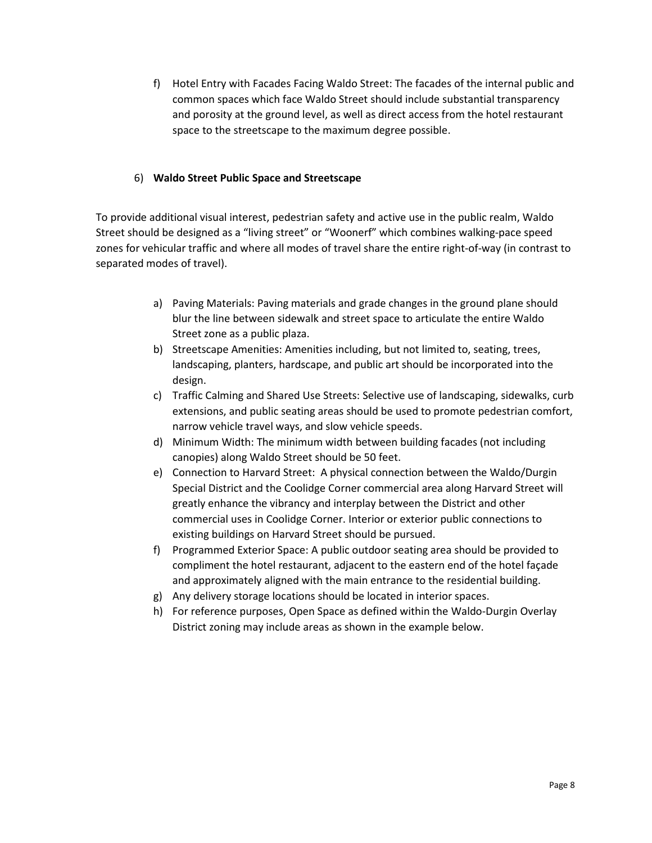f) Hotel Entry with Facades Facing Waldo Street: The facades of the internal public and common spaces which face Waldo Street should include substantial transparency and porosity at the ground level, as well as direct access from the hotel restaurant space to the streetscape to the maximum degree possible.

### 6) **Waldo Street Public Space and Streetscape**

To provide additional visual interest, pedestrian safety and active use in the public realm, Waldo Street should be designed as a "living street" or "Woonerf" which combines walking-pace speed zones for vehicular traffic and where all modes of travel share the entire right-of-way (in contrast to separated modes of travel).

- a) Paving Materials: Paving materials and grade changes in the ground plane should blur the line between sidewalk and street space to articulate the entire Waldo Street zone as a public plaza.
- b) Streetscape Amenities: Amenities including, but not limited to, seating, trees, landscaping, planters, hardscape, and public art should be incorporated into the design.
- c) Traffic Calming and Shared Use Streets: Selective use of landscaping, sidewalks, curb extensions, and public seating areas should be used to promote pedestrian comfort, narrow vehicle travel ways, and slow vehicle speeds.
- d) Minimum Width: The minimum width between building facades (not including canopies) along Waldo Street should be 50 feet.
- e) Connection to Harvard Street: A physical connection between the Waldo/Durgin Special District and the Coolidge Corner commercial area along Harvard Street will greatly enhance the vibrancy and interplay between the District and other commercial uses in Coolidge Corner. Interior or exterior public connections to existing buildings on Harvard Street should be pursued.
- f) Programmed Exterior Space: A public outdoor seating area should be provided to compliment the hotel restaurant, adjacent to the eastern end of the hotel façade and approximately aligned with the main entrance to the residential building.
- g) Any delivery storage locations should be located in interior spaces.
- h) For reference purposes, Open Space as defined within the Waldo-Durgin Overlay District zoning may include areas as shown in the example below.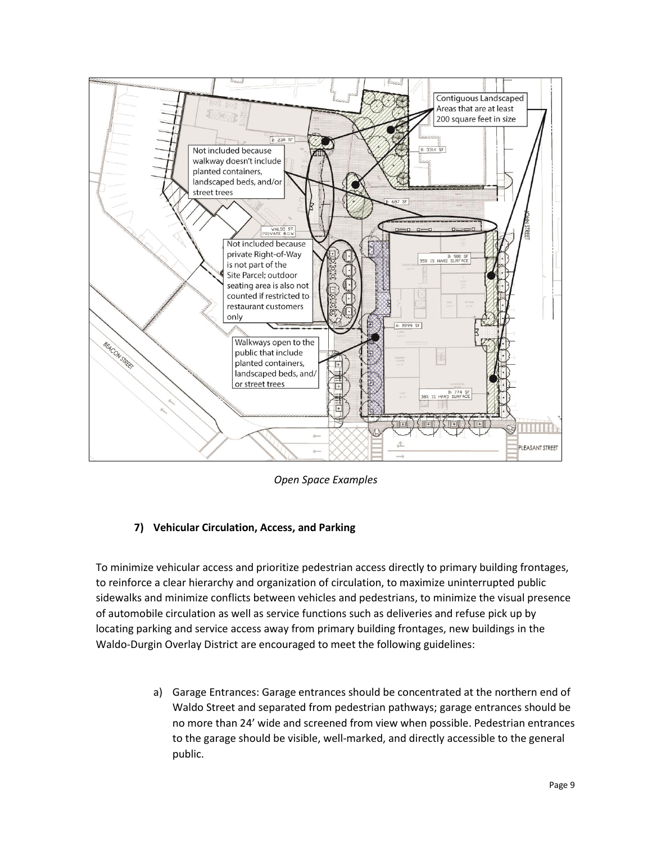

*Open Space Examples*

## **7) Vehicular Circulation, Access, and Parking**

To minimize vehicular access and prioritize pedestrian access directly to primary building frontages, to reinforce a clear hierarchy and organization of circulation, to maximize uninterrupted public sidewalks and minimize conflicts between vehicles and pedestrians, to minimize the visual presence of automobile circulation as well as service functions such as deliveries and refuse pick up by locating parking and service access away from primary building frontages, new buildings in the Waldo-Durgin Overlay District are encouraged to meet the following guidelines:

> a) Garage Entrances: Garage entrances should be concentrated at the northern end of Waldo Street and separated from pedestrian pathways; garage entrances should be no more than 24' wide and screened from view when possible. Pedestrian entrances to the garage should be visible, well-marked, and directly accessible to the general public.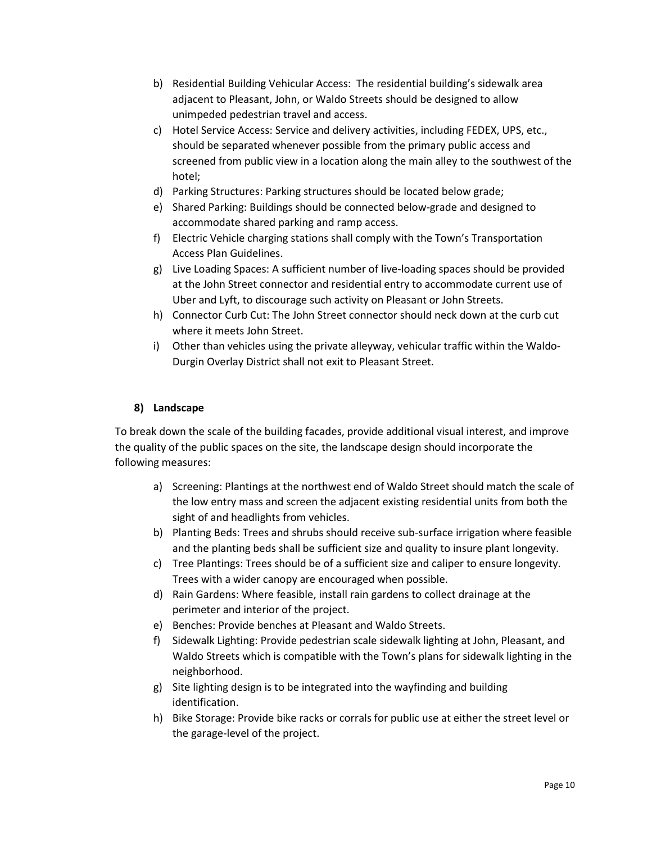- b) Residential Building Vehicular Access: The residential building's sidewalk area adjacent to Pleasant, John, or Waldo Streets should be designed to allow unimpeded pedestrian travel and access.
- c) Hotel Service Access: Service and delivery activities, including FEDEX, UPS, etc., should be separated whenever possible from the primary public access and screened from public view in a location along the main alley to the southwest of the hotel;
- d) Parking Structures: Parking structures should be located below grade;
- e) Shared Parking: Buildings should be connected below-grade and designed to accommodate shared parking and ramp access.
- f) Electric Vehicle charging stations shall comply with the Town's Transportation Access Plan Guidelines.
- g) Live Loading Spaces: A sufficient number of live-loading spaces should be provided at the John Street connector and residential entry to accommodate current use of Uber and Lyft, to discourage such activity on Pleasant or John Streets.
- h) Connector Curb Cut: The John Street connector should neck down at the curb cut where it meets John Street.
- i) Other than vehicles using the private alleyway, vehicular traffic within the Waldo-Durgin Overlay District shall not exit to Pleasant Street.

# **8) Landscape**

To break down the scale of the building facades, provide additional visual interest, and improve the quality of the public spaces on the site, the landscape design should incorporate the following measures:

- a) Screening: Plantings at the northwest end of Waldo Street should match the scale of the low entry mass and screen the adjacent existing residential units from both the sight of and headlights from vehicles.
- b) Planting Beds: Trees and shrubs should receive sub-surface irrigation where feasible and the planting beds shall be sufficient size and quality to insure plant longevity.
- c) Tree Plantings: Trees should be of a sufficient size and caliper to ensure longevity. Trees with a wider canopy are encouraged when possible.
- d) Rain Gardens: Where feasible, install rain gardens to collect drainage at the perimeter and interior of the project.
- e) Benches: Provide benches at Pleasant and Waldo Streets.
- f) Sidewalk Lighting: Provide pedestrian scale sidewalk lighting at John, Pleasant, and Waldo Streets which is compatible with the Town's plans for sidewalk lighting in the neighborhood.
- g) Site lighting design is to be integrated into the wayfinding and building identification.
- h) Bike Storage: Provide bike racks or corrals for public use at either the street level or the garage-level of the project.